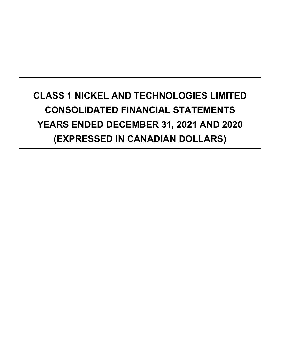# **CLASS 1 NICKEL AND TECHNOLOGIES LIMITED CONSOLIDATED FINANCIAL STATEMENTS YEARS ENDED DECEMBER 31, 2021 AND 2020 (EXPRESSED IN CANADIAN DOLLARS)**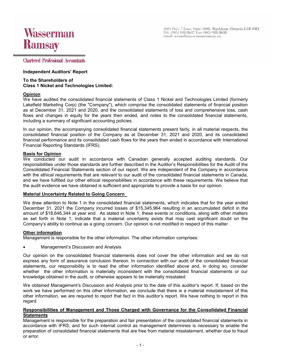# **Wasserman Ramsay**

3601 Hwy 7 East, Suite 1008, Markham, Ontario L3R 0M3 Tel. (905) 948-8637 Fax (905) 948-8638 email: wram@wassermanramsay.ca

# **Chartered Professional Accountants**

# **Independent Auditors' Report**

#### **To the Shareholders of Class 1 Nickel and Technologies Limited:**

# **Opinion**

We have audited the consolidated financial statements of Class 1 Nickel and Technologies Limited (formerly Lakefield Marketing Corp) (the "Company"), which comprise the consolidated statements of financial position as at December 31, 2021 and 2020, and the consolidated statements of loss and comprehensive loss, cash flows and changes in equity for the years then ended, and notes to the consolidated financial statements, including a summary of significant accounting policies.

In our opinion, the accompanying consolidated financial statements present fairly, in all material respects, the consolidated financial position of the Company as at December 31, 2021 and 2020, and its consolidated financial performance and its consolidated cash flows for the years then ended in accordance with International Financial Reporting Standards (IFRS).

# **Basis for Opinion**

We conducted our audit in accordance with Canadian generally accepted auditing standards. Our responsibilities under those standards are further described in the Auditor's Responsibilities for the Audit of the Consolidated Financial Statements section of our report. We are independent of the Company in accordance with the ethical requirements that are relevant to our audit of the consolidated financial statements in Canada, and we have fulfilled our other ethical responsibilities in accordance with these requirements. We believe that the audit evidence we have obtained is sufficient and appropriate to provide a basis for our opinion.

## **Material Uncertainty Related to Going Concern**

We draw attention to Note 1 in the consolidated financial statements, which indicates that for the year ended December 31, 2021 the Company incurred losses of \$15,345,964 resulting in an accumulated deficit in the amount of \$18,646,344 at year end. As stated in Note 1, these events or conditions, along with other matters as set forth in Note 1, indicate that a material uncertainty exists that may cast significant doubt on the Company's ability to continue as a going concern. Our opinion is not modified in respect of this matter.

## **Other information**

Management is responsible for the other information. The other information comprises:

Management's Discussion and Analysis

Our opinion on the consolidated financial statements does not cover the other information and we do not express any form of assurance conclusion thereon. In connection with our audit of the consolidated financial statements, our responsibility is to read the other information identified above and, in doing so, consider whether the other information is materially inconsistent with the consolidated financial statements or our knowledge obtained in the audit, or otherwise appears to be materially misstated.

We obtained Management's Discussion and Analysis prior to the date of this auditor's report. If, based on the work we have performed on this other information, we conclude that there is a material misstatement of this other information, we are required to report that fact in this auditor's report. We have nothing to report in this regard.

## **Responsibilities of Management and Those Charged with Governance for the Consolidated Financial Statements**

Management is responsible for the preparation and fair presentation of the consolidated financial statements in accordance with IFRS, and for such internal control as management determines is necessary to enable the preparation of consolidated financial statements that are free from material misstatement, whether due to fraud or error.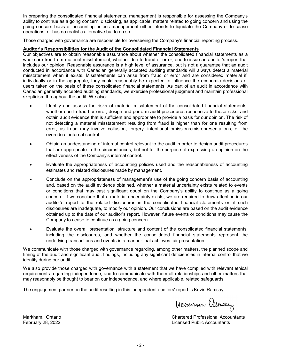In preparing the consolidated financial statements, management is responsible for assessing the Company's ability to continue as a going concern, disclosing, as applicable, matters related to going concern and using the going concern basis of accounting unless management either intends to liquidate the Company or to cease operations, or has no realistic alternative but to do so.

Those charged with governance are responsible for overseeing the Company's financial reporting process.

# **Auditor's Responsibilities for the Audit of the Consolidated Financial Statements**

Our objectives are to obtain reasonable assurance about whether the consolidated financial statements as a whole are free from material misstatement, whether due to fraud or error, and to issue an auditor's report that includes our opinion. Reasonable assurance is a high level of assurance, but is not a guarantee that an audit conducted in accordance with Canadian generally accepted auditing standards will always detect a material misstatement when it exists. Misstatements can arise from fraud or error and are considered material if, individually or in the aggregate, they could reasonably be expected to influence the economic decisions of users taken on the basis of these consolidated financial statements. As part of an audit in accordance with Canadian generally accepted auditing standards, we exercise professional judgment and maintain professional skepticism throughout the audit. We also:

- Identify and assess the risks of material misstatement of the consolidated financial statements, whether due to fraud or error, design and perform audit procedures responsive to those risks, and obtain audit evidence that is sufficient and appropriate to provide a basis for our opinion. The risk of not detecting a material misstatement resulting from fraud is higher than for one resulting from error, as fraud may involve collusion, forgery, intentional omissions,misrepresentations, or the override of internal control.
- Obtain an understanding of internal control relevant to the audit in order to design audit procedures that are appropriate in the circumstances, but not for the purpose of expressing an opinion on the effectiveness of the Company's internal control.
- Evaluate the appropriateness of accounting policies used and the reasonableness of accounting estimates and related disclosures made by management.
- Conclude on the appropriateness of management's use of the going concern basis of accounting and, based on the audit evidence obtained, whether a material uncertainty exists related to events or conditions that may cast significant doubt on the Company's ability to continue as a going concern. If we conclude that a material uncertainty exists, we are required to draw attention in our auditor's report to the related disclosures in the consolidated financial statements or, if such disclosures are inadequate, to modify our opinion. Our conclusions are based on the audit evidence obtained up to the date of our auditor's report. However, future events or conditions may cause the Company to cease to continue as a going concern.
- Evaluate the overall presentation, structure and content of the consolidated financial statements, including the disclosures, and whether the consolidated financial statements represent the underlying transactions and events in a manner that achieves fair presentation.

We communicate with those charged with governance regarding, among other matters, the planned scope and timing of the audit and significant audit findings, including any significant deficiencies in internal control that we identify during our audit.

We also provide those charged with governance with a statement that we have complied with relevant ethical requirements regarding independence, and to communicate with them all relationships and other matters that may reasonably be thought to bear on our independence, and where applicable, related safeguards.

The engagement partner on the audit resulting in this independent auditors' report is Kevin Ramsay.

Waserman Cameaux

Markham, Ontario Chartered Professional Accountants February 28, 2022 Licensed Public Accountants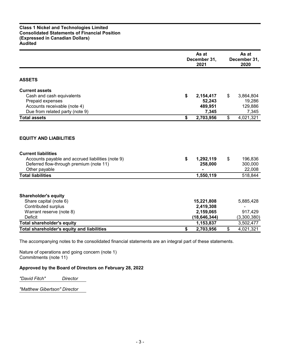|                                                                                                                                             | As at<br>December 31,<br>2021 |                      |    | As at<br>December 31,<br>2020 |  |  |
|---------------------------------------------------------------------------------------------------------------------------------------------|-------------------------------|----------------------|----|-------------------------------|--|--|
| <b>ASSETS</b>                                                                                                                               |                               |                      |    |                               |  |  |
| <b>Current assets</b>                                                                                                                       |                               |                      |    |                               |  |  |
| Cash and cash equivalents                                                                                                                   | \$                            | 2,154,417            | \$ | 3,864,804                     |  |  |
| Prepaid expenses                                                                                                                            |                               | 52,243               |    | 19,286                        |  |  |
| Accounts receivable (note 4)                                                                                                                |                               | 489,951              |    | 129,886                       |  |  |
| Due from related party (note 9)                                                                                                             |                               | 7,345                |    | 7,345                         |  |  |
| <b>Total assets</b>                                                                                                                         | \$                            | 2,703,956            | \$ | 4,021,321                     |  |  |
| <b>Current liabilities</b><br>Accounts payable and accrued liabilities (note 9)<br>Deferred flow-through premium (note 11)<br>Other payable | \$                            | 1,292,119<br>258,000 | \$ | 196,836<br>300,000<br>22,008  |  |  |
| <b>Total liabilities</b>                                                                                                                    |                               | 1,550,119            |    | 518,844                       |  |  |
| <b>Shareholder's equity</b>                                                                                                                 |                               |                      |    |                               |  |  |
| Share capital (note 6)                                                                                                                      |                               | 15,221,808           |    | 5,885,428                     |  |  |
| Contributed surplus                                                                                                                         |                               | 2,419,308            |    |                               |  |  |
| Warrant reserve (note 8)                                                                                                                    |                               | 2,159,065            |    | 917,429                       |  |  |
| <b>Deficit</b>                                                                                                                              |                               | (18, 646, 344)       |    | (3,300,380)                   |  |  |
| <b>Total shareholder's equity</b>                                                                                                           |                               | 1,153,837            |    | 3,502,477                     |  |  |
| Total shareholder's equity and liabilities                                                                                                  | \$                            | 2,703,956            | \$ | 4,021,321                     |  |  |

The accompanying notes to the consolidated financial statements are an integral part of these statements.

Nature of operations and going concern (note 1) Commitments (note 11)

# **Approved by the Board of Directors on February 28, 2022**

*"David Fitch" Director*

*"Matthew Gibertson" Director*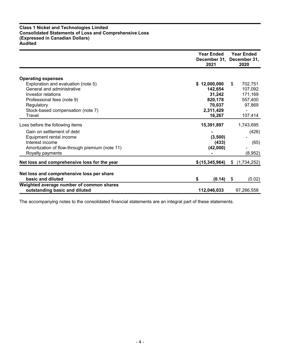## **Class 1 Nickel and Technologies Limited Consolidated Statements of Loss and Comprehensive Loss (Expressed in Canadian Dollars) Audited**

|                                                                | <b>Year Ended</b><br>2021 | <b>Year Ended</b><br>December 31, December 31,<br>2020 |  |  |
|----------------------------------------------------------------|---------------------------|--------------------------------------------------------|--|--|
|                                                                |                           |                                                        |  |  |
| <b>Operating expenses</b>                                      |                           |                                                        |  |  |
| Exploration and evaluation (note 5)                            | \$12,000,090              | \$<br>702,751                                          |  |  |
| General and administrative                                     | 142,654                   | 107,092                                                |  |  |
| Investor relations                                             | 31,242                    | 171,169                                                |  |  |
| Professional fees (note 9)                                     | 820,178                   | 557,400                                                |  |  |
| Regulatory                                                     | 70,037                    | 97,869                                                 |  |  |
| Stock-based compensation (note 7)                              | 2,311,429                 |                                                        |  |  |
| Travel                                                         | 16,267                    | 107,414                                                |  |  |
| Loss before the following items                                | 15,391,897                | 1,743,695                                              |  |  |
| Gain on settlement of debt                                     |                           | (426)                                                  |  |  |
| Equipment rental income                                        | (3,500)                   |                                                        |  |  |
| Interest income                                                | (433)                     | (65)                                                   |  |  |
| Amortization of flow-through premium (note 11)                 | (42,000)                  |                                                        |  |  |
| Royalty payments                                               |                           | (8,952)                                                |  |  |
| Net loss and comprehensive loss for the year                   | \$(15, 345, 964)          | (1,734,252)<br>\$                                      |  |  |
|                                                                |                           |                                                        |  |  |
| Net loss and comprehensive loss per share<br>basic and diluted | \$<br>(0.14)              | \$<br>(0.02)                                           |  |  |
| Weighted average number of common shares                       |                           |                                                        |  |  |
| outstanding basic and diluted                                  | 112,046,033               | 97,266,558                                             |  |  |

The accompanying notes to the consolidated financial statements are an integral part of these statements.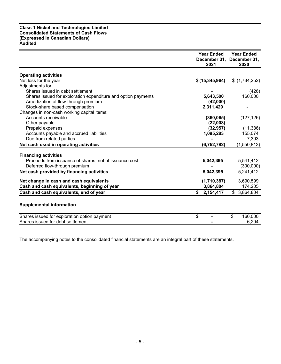## **Class 1 Nickel and Technologies Limited Consolidated Statements of Cash Flows (Expressed in Canadian Dollars) Audited**

|                                                               | <b>Year Ended</b><br>2021 | <b>Year Ended</b><br>December 31, December 31,<br>2020 |
|---------------------------------------------------------------|---------------------------|--------------------------------------------------------|
| <b>Operating activities</b>                                   |                           |                                                        |
| Net loss for the year                                         | \$ (15,345,964)           | \$ (1,734,252)                                         |
| Adjustments for:                                              |                           |                                                        |
| Shares issued in debt settlement                              |                           | (426)                                                  |
| Shares issued for exploration expenditure and option payments | 5,643,500                 | 160,000                                                |
| Amortization of flow-through premium                          | (42,000)                  |                                                        |
| Stock-share based compensation                                | 2,311,429                 |                                                        |
| Changes in non-cash working capital items:                    |                           |                                                        |
| Accounts receivable                                           | (360, 065)                | (127, 126)                                             |
| Other payable                                                 | (22,008)                  |                                                        |
| Prepaid expenses                                              | (32, 957)                 | (11, 386)                                              |
| Accounts payable and accrued liabilities                      | 1,095,283                 | 155,074                                                |
| Due from related parties                                      |                           | 7,303                                                  |
| Net cash used in operating activities                         | (6, 752, 782)             | (1,550,813)                                            |
|                                                               |                           |                                                        |
| <b>Financing activities</b>                                   |                           |                                                        |
| Proceeds from issuance of shares, net of issuance cost        | 5,042,395                 | 5,541,412                                              |
| Deferred flow-through premium                                 |                           | (300,000)                                              |
| Net cash provided by financing activities                     | 5,042,395                 | 5,241,412                                              |
| Net change in cash and cash equivalents                       | (1,710,387)               | 3,690,599                                              |
| Cash and cash equivalents, beginning of year                  | 3,864,804                 | 174,205                                                |
| Cash and cash equivalents, end of year                        | 2,154,417<br>\$           | \$3,864,804                                            |
|                                                               |                           |                                                        |
| <b>Supplemental information</b>                               |                           |                                                        |
| Shares issued for exploration option payment                  | \$                        | \$<br>160,000                                          |
| Shares issued for debt settlement                             |                           | 6,204                                                  |

The accompanying notes to the consolidated financial statements are an integral part of these statements.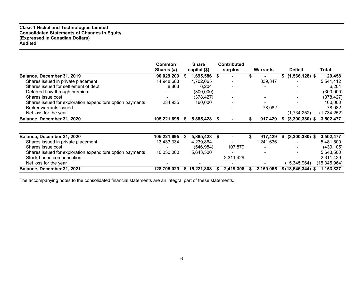## **Class 1 Nickel and Technologies Limited Consolidated Statements of Changes in Equity (Expressed in Canadian Dollars) Audited**

|                                                           | <b>Common</b><br>Shares (#) | <b>Share</b><br>capital (\$) | <b>Contributed</b><br>surplus |   | <b>Warrants</b> |    | <b>Deficit</b>        | Total        |
|-----------------------------------------------------------|-----------------------------|------------------------------|-------------------------------|---|-----------------|----|-----------------------|--------------|
| Balance, December 31, 2019                                | 90,029,209                  | 1,695,586 \$                 |                               |   |                 | S. | $(1,566,128)$ \$      | 129,458      |
| Shares issued in private placement                        | 14,948,688                  | 4,702,065                    |                               |   | 839,347         |    |                       | 5,541,412    |
| Shares issued for settlement of debt                      | 8,863                       | 6,204                        |                               |   |                 |    |                       | 6,204        |
| Deferred flow-through premium                             |                             | (300,000)                    |                               |   |                 |    |                       | (300,000)    |
| Shares issue cost                                         |                             | (378, 427)                   |                               |   |                 |    |                       | (378,427)    |
| Shares issued for exploration expenditure option payments | 234,935                     | 160,000                      |                               |   |                 |    |                       | 160,000      |
| Broker warrants issued                                    |                             |                              |                               |   | 78,082          |    |                       | 78,082       |
| Net loss for the year                                     |                             |                              |                               |   |                 |    | (1,734,252)           | (1,734,252)  |
| Balance, December 31, 2020                                | 105,221,695                 | 5,885,428                    |                               |   | 917,429         |    | $(3,300,380)$ \$      | 3,502,477    |
|                                                           |                             |                              |                               |   |                 |    |                       |              |
| Balance, December 31, 2020                                | 105,221,695                 | 5,885,428 \$                 |                               |   | 917,429         |    | $(3,300,380)$ \$      | 3,502,477    |
| Shares issued in private placement                        | 13,433,334                  | 4,239,864                    |                               |   | 1,241,636       |    |                       | 5,481,500    |
| Shares issue cost                                         |                             | (546,984)                    | 107,879                       |   |                 |    |                       | (439,105)    |
| Shares issued for exploration expenditure option payments | 10,050,000                  | 5,643,500                    |                               |   |                 |    |                       | 5,643,500    |
| Stock-based compensation                                  |                             |                              | 2,311,429                     |   |                 |    |                       | 2,311,429    |
| Net loss for the year                                     |                             |                              |                               |   |                 |    | (15,345,964)          | (15,345,964) |
| Balance, December 31, 2021                                | 128,705,029                 | \$15,221,808                 | 2,419,308                     | ъ | 2,159,065       |    | $$ (18, 646, 344)$ \$ | 1,153,837    |

The accompanying notes to the consolidated financial statements are an integral part of these statements.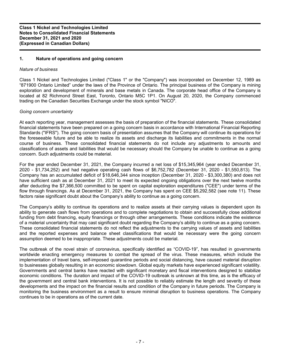# **1. Nature of operations and going concern**

## *Nature of business*

Class 1 Nickel and Technologies Limited ("Class 1" or the "Company") was incorporated on December 12, 1989 as "871900 Ontario Limited" under the laws of the Province of Ontario. The principal business of the Company is mining exploration and development of minerals and base metals in Canada. The corporate head office of the Company is located at 82 Richmond Street East, Toronto, Ontario M5C 1P1. On August 20, 2020, the Company commenced trading on the Canadian Securities Exchange under the stock symbol "NICO".

# *Going concern uncertainty*

At each reporting year, management assesses the basis of preparation of the financial statements. These consolidated financial statements have been prepared on a going concern basis in accordance with International Financial Reporting Standards ("IFRS"). The going concern basis of presentation assumes that the Company will continue its operations for the foreseeable future and be able to realize its assets and discharge its liabilities and commitments in the normal course of business. These consolidated financial statements do not include any adjustments to amounts and classifications of assets and liabilities that would be necessary should the Company be unable to continue as a going concern. Such adjustments could be material.

For the year ended December 31, 2021, the Company incurred a net loss of \$15,345,964 (year ended December 31, 2020 - \$1,734,252) and had negative operating cash flows of \$6,752,782 (December 31, 2020 - \$1,550,813). The Company has an accumulated deficit of \$18,646,344 since inception (December 31, 2020 - \$3,300,380) and does not have sufficient cash as at December 31, 2021 to meet its expected ongoing obligations over the next twelve months after deducting the \$7,366,500 committed to be spent on capital exploration expenditures ("CEE") under terms of the flow through financings. As at December 31, 2021, the Company has spent on CEE \$5,292,582 (see note 11). These factors raise significant doubt about the Company's ability to continue as a going concern.

The Company's ability to continue its operations and to realize assets at their carrying values is dependent upon its ability to generate cash flows from operations and to complete negotiations to obtain and successfully close additional funding from debt financing, equity financings or through other arrangements. These conditions indicate the existence of a material uncertainty that may cast significant doubt regarding the Company's ability to continue as a going concern. These consolidated financial statements do not reflect the adjustments to the carrying values of assets and liabilities and the reported expenses and balance sheet classifications that would be necessary were the going concern assumption deemed to be inappropriate. These adjustments could be material.

The outbreak of the novel strain of coronavirus, specifically identified as "COVID-19", has resulted in governments worldwide enacting emergency measures to combat the spread of the virus. These measures, which include the implementation of travel bans, self-imposed quarantine periods and social distancing, have caused material disruption to businesses globally resulting in an economic slowdown. Global equity markets have experienced significant volatility. Governments and central banks have reacted with significant monetary and fiscal interventions designed to stabilize economic conditions. The duration and impact of the COVID-19 outbreak is unknown at this time, as is the efficacy of the government and central bank interventions. It is not possible to reliably estimate the length and severity of these developments and the impact on the financial results and condition of the Company in future periods. The Company is monitoring the business environment as a result to ensure minimal disruption to business operations. The Company continues to be in operations as of the current date.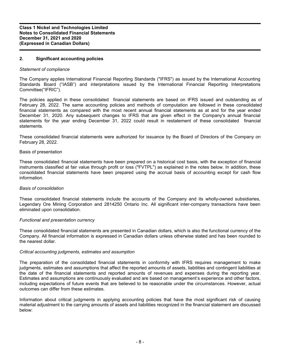## **2. Significant accounting policies**

## *Statement of compliance*

The Company applies International Financial Reporting Standards ("IFRS") as issued by the International Accounting Standards Board ("IASB") and interpretations issued by the International Financial Reporting Interpretations Committee("IFRIC").

The policies applied in these consolidated financial statements are based on IFRS issued and outstanding as of February 28, 2022. The same accounting policies and methods of computation are followed in these consolidated financial statements as compared with the most recent annual financial statements as at and for the year ended December 31, 2020. Any subsequent changes to IFRS that are given effect in the Company's annual financial statements for the year ending December 31, 2022 could result in restatement of these consolidated financial statements.

These consolidated financial statements were authorized for issuance by the Board of Directors of the Company on February 28, 2022.

## Basis of presentation

These consolidated financial statements have been prepared on a historical cost basis, with the exception of financial instruments classified at fair value through profit or loss ("FVTPL") as explained in the notes below. In addition, these consolidated financial statements have been prepared using the accrual basis of accounting except for cash flow information.

## *Basis of consolidation*

These consolidated financial statements include the accounts of the Company and its wholly-owned subsidiaries, Legendary Ore Mining Corporation and 2814250 Ontario Inc. All significant inter-company transactions have been eliminated upon consolidation.

## *Functional and presentation currency*

These consolidated financial statements are presented in Canadian dollars, which is also the functional currency of the Company. All financial information is expressed in Canadian dollars unless otherwise stated and has been rounded to the nearest dollar.

## *Critical accounting judgments, estimates and assumption*

The preparation of the consolidated financial statements in conformity with IFRS requires management to make judgments, estimates and assumptions that affect the reported amounts of assets, liabilities and contingent liabilities at the date of the financial statements and reported amounts of revenues and expenses during the reporting year. Estimates and assumptions are continuously evaluated and are based on management's experience and other factors, including expectations of future events that are believed to be reasonable under the circumstances. However, actual outcomes can differ from these estimates.

Information about critical judgments in applying accounting policies that have the most significant risk of causing material adjustment to the carrying amounts of assets and liabilities recognized in the financial statement are discussed below: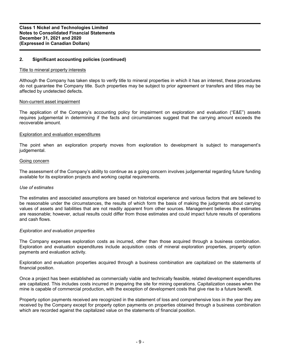#### Title to mineral property interests

Although the Company has taken steps to verify title to mineral properties in which it has an interest, these procedures do not guarantee the Company title. Such properties may be subject to prior agreement or transfers and titles may be affected by undetected defects.

#### Non-current asset impairment

The application of the Company's accounting policy for impairment on exploration and evaluation ("E&E") assets requires judgemental in determining if the facts and circumstances suggest that the carrying amount exceeds the recoverable amount.

#### Exploration and evaluation expenditures

The point when an exploration property moves from exploration to development is subject to management's judgemental.

#### Going concern

The assessment of the Company's ability to continue as a going concern involves judgemental regarding future funding available for its exploration projects and working capital requirements.

## *Use of estimates*

The estimates and associated assumptions are based on historical experience and various factors that are believed to be reasonable under the circumstances, the results of which form the basis of making the judgments about carrying values of assets and liabilities that are not readily apparent from other sources. Management believes the estimates are reasonable; however, actual results could differ from those estimates and could impact future results of operations and cash flows.

## *Exploration and evaluation properties*

The Company expenses exploration costs as incurred, other than those acquired through a business combination. Exploration and evaluation expenditures include acquisition costs of mineral exploration properties, property option payments and evaluation activity.

Exploration and evaluation properties acquired through a business combination are capitalized on the statements of financial position.

Once a project has been established as commercially viable and technically feasible, related development expenditures are capitalized. This includes costs incurred in preparing the site for mining operations. Capitalization ceases when the mine is capable of commercial production, with the exception of development costs that give rise to a future benefit.

Property option payments received are recognized in the statement of loss and comprehensive loss in the year they are received by the Company except for property option payments on properties obtained through a business combination which are recorded against the capitalized value on the statements of financial position.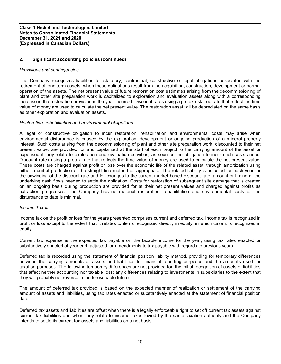## *Provisions and contingencies*

The Company recognizes liabilities for statutory, contractual, constructive or legal obligations associated with the retirement of long term assets, when those obligations result from the acquisition, construction, development or normal operation of the assets. The net present value of future restoration cost estimates arising from the decommissioning of plant and other site preparation work is capitalized to exploration and evaluation assets along with a corresponding increase in the restoration provision in the year incurred. Discount rates using a pretax risk free rate that reflect the time value of money are used to calculate the net present value. The restoration asset will be depreciated on the same basis as other exploration and evaluation assets.

# *Restoration, rehabilitation and environmental obligations*

A legal or constructive obligation to incur restoration, rehabilitation and environmental costs may arise when environmental disturbance is caused by the exploration, development or ongoing production of a mineral property interest. Such costs arising from the decommissioning of plant and other site preparation work, discounted to their net present value, are provided for and capitalized at the start of each project to the carrying amount of the asset or expensed if they relate to exploration and evaluation activities, as soon as the obligation to incur such costs arises. Discount rates using a pretax rate that reflects the time value of money are used to calculate the net present value. These costs are charged against profit or loss over the economic life of the related asset, through amortization using either a unit-of-production or the straight-line method as appropriate. The related liability is adjusted for each year for the unwinding of the discount rate and for changes to the current market-based discount rate, amount or timing of the underlying cash flows needed to settle the obligation. Costs for restoration of subsequent site damage that is created on an ongoing basis during production are provided for at their net present values and charged against profits as extraction progresses. The Company has no material restoration, rehabilitation and environmental costs as the disturbance to date is minimal.

## *Income Taxes*

Income tax on the profit or loss for the years presented comprises current and deferred tax. Income tax is recognized in profit or loss except to the extent that it relates to items recognized directly in equity, in which case it is recognized in equity.

Current tax expense is the expected tax payable on the taxable income for the year, using tax rates enacted or substantively enacted at year end, adjusted for amendments to tax payable with regards to previous years.

Deferred tax is recorded using the statement of financial position liability method, providing for temporary differences between the carrying amounts of assets and liabilities for financial reporting purposes and the amounts used for taxation purposes. The following temporary differences are not provided for: the initial recognition of assets or liabilities that affect neither accounting nor taxable loss; any differences relating to investments in subsidiaries to the extent that they will probably not reverse in the foreseeable future.

The amount of deferred tax provided is based on the expected manner of realization or settlement of the carrying amount of assets and liabilities, using tax rates enacted or substantively enacted at the statement of financial position date.

Deferred tax assets and liabilities are offset when there is a legally enforceable right to set off current tax assets against current tax liabilities and when they relate to income taxes levied by the same taxation authority and the Company intends to settle its current tax assets and liabilities on a net basis.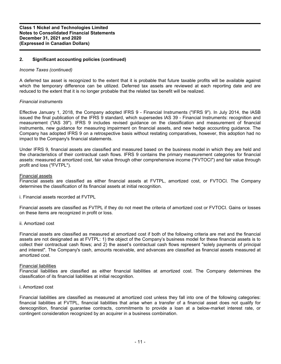#### *Income Taxes (continued)*

A deferred tax asset is recognized to the extent that it is probable that future taxable profits will be available against which the temporary difference can be utilized. Deferred tax assets are reviewed at each reporting date and are reduced to the extent that it is no longer probable that the related tax benefit will be realized.

#### *Financial instruments*

Effective January 1, 2018, the Company adopted IFRS 9 - Financial Instruments ("IFRS 9"). In July 2014, the IASB issued the final publication of the IFRS 9 standard, which supersedes lAS 39 - Financial Instruments: recognition and measurement ("lAS 39"). IFRS 9 includes revised guidance on the classification and measurement of financial instruments, new guidance for measuring impairment on financial assets, and new hedge accounting guidance. The Company has adopted IFRS 9 on a retrospective basis without restating comparatives, however, this adoption had no impact to the Company's financial statements.

Under IFRS 9, financial assets are classified and measured based on the business model in which they are held and the characteristics of their contractual cash flows. IFRS 9 contains the primary measurement categories for financial assets: measured at amortized cost, fair value through other comprehensive income ("FVTOCI") and fair value through profit and loss ("FVTPL").

#### Financial assets

Financial assets are classified as either financial assets at FVTPL, amortized cost, or FVTOCI. The Company determines the classification of its financial assets at initial recognition.

i. Financial assets recorded at FVTPL

Financial assets are classified as FVTPL if they do not meet the criteria of amortized cost or FVTOCI. Gains or losses on these items are recognized in profit or loss.

#### ii. Amortized cost

Financial assets are classified as measured at amortized cost if both of the following criteria are met and the financial assets are not designated as at FVTPL: 1) the object of the Company's business model for these financial assets is to collect their contractual cash flows; and 2) the asset's contractual cash flows represent "solely payments of principal and interest". The Company's cash, amounts receivable, and advances are classified as financial assets measured at amortized cost.

#### Financial liabilities

Financial liabilities are classified as either financial liabilities at amortized cost. The Company determines the classification of its financial liabilities at initial recognition.

#### i. Amortized cost

Financial liabilities are classified as measured at amortized cost unless they fall into one of the following categories: financial liabilities at FVTPL, financial liabilities that arise when a transfer of a financial asset does not qualify for derecognition, financial guarantee contracts, commitments to provide a loan at a below-market interest rate, or contingent consideration recognized by an acquirer in a business combination.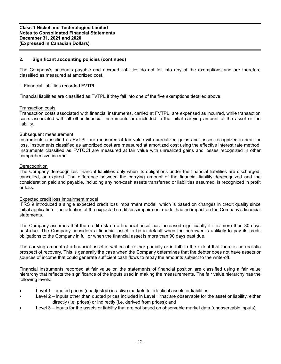The Company's accounts payable and accrued liabilities do not fall into any of the exemptions and are therefore classified as measured at amortized cost.

## ii. Financial liabilities recorded FVTPL

Financial liabilities are classified as FVTPL if they fall into one of the five exemptions detailed above.

#### Transaction costs

Transaction costs associated with financial instruments, carried at FVTPL, are expensed as incurred, while transaction costs associated with all other financial instruments are included in the initial carrying amount of the asset or the liability.

#### Subsequent measurement

Instruments classified as FVTPL are measured at fair value with unrealized gains and losses recognized in profit or loss. Instruments classified as amortized cost are measured at amortized cost using the effective interest rate method. Instruments classified as FVTOCI are measured at fair value with unrealized gains and losses recognized in other comprehensive income.

#### **Derecognition**

The Company derecognizes financial liabilities only when its obligations under the financial liabilities are discharged, cancelled, or expired. The difference between the carrying amount of the financial liability derecognized and the consideration paid and payable, including any non-cash assets transferred or liabilities assumed, is recognized in profit or loss.

## Expected credit loss impairment model

IFRS 9 introduced a single expected credit loss impairment model, which is based on changes in credit quality since initial application. The adoption of the expected credit loss impairment model had no impact on the Company's financial statements.

The Company assumes that the credit risk on a financial asset has increased significantly if it is more than 30 days past due. The Company considers a financial asset to be in default when the borrower is unlikely to pay its credit obligations to the Company in full or when the financial asset is more than 90 days past due.

The carrying amount of a financial asset is written off (either partially or in full) to the extent that there is no realistic prospect of recovery. This is generally the case when the Company determines that the debtor does not have assets or sources of income that could generate sufficient cash flows to repay the amounts subject to the write-off.

Financial instruments recorded at fair value on the statements of financial position are classified using a fair value hierarchy that reflects the significance of the inputs used in making the measurements. The fair value hierarchy has the following levels:

- Level 1 quoted prices (unadjusted) in active markets for identical assets or liabilities;
- Level 2 inputs other than quoted prices included in Level 1 that are observable for the asset or liability, either directly (i.e. prices) or indirectly (i.e. derived from prices); and
- Level 3 inputs for the assets or liability that are not based on observable market data (unobservable inputs).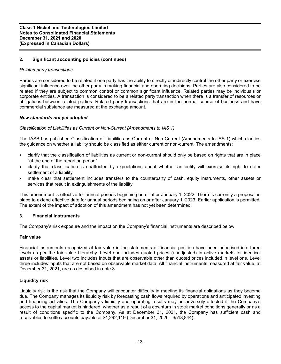# *Related party transactions*

Parties are considered to be related if one party has the ability to directly or indirectly control the other party or exercise significant influence over the other party in making financial and operating decisions. Parties are also considered to be related if they are subject to common control or common significant influence. Related parties may be individuals or corporate entities. A transaction is considered to be a related party transaction when there is a transfer of resources or obligations between related parties. Related party transactions that are in the normal course of business and have commercial substance are measured at the exchange amount.

# *New standards not yet adopted*

# *Classification of Liabilities as Current or Non-Current (Amendments to IAS 1)*

The IASB has published Classification of Liabilities as Current or Non-Current (Amendments to IAS 1) which clarifies the guidance on whether a liability should be classified as either current or non-current. The amendments:

- clarify that the classification of liabilities as current or non-current should only be based on rights that are in place "at the end of the reporting period"
- clarify that classification is unaffected by expectations about whether an entity will exercise its right to defer settlement of a liability
- make clear that settlement includes transfers to the counterparty of cash, equity instruments, other assets or services that result in extinguishments of the liability.

This amendment is effective for annual periods beginning on or after January 1, 2022. There is currently a proposal in place to extend effective date for annual periods beginning on or after January 1, 2023. Earlier application is permitted. The extent of the impact of adoption of this amendment has not yet been determined.

# **3. Financial instruments**

The Company's risk exposure and the impact on the Company's financial instruments are described below.

## **Fair value**

Financial instruments recognized at fair value in the statements of financial position have been prioritised into three levels as per the fair value hierarchy. Level one includes quoted prices (unadjusted) in active markets for identical assets or liabilities. Level two includes inputs that are observable other than quoted prices included in level one. Level three includes inputs that are not based on observable market data. All financial instruments measured at fair value, at December 31, 2021, are as described in note 3.

## **Liquidity risk**

Liquidity risk is the risk that the Company will encounter difficulty in meeting its financial obligations as they become due. The Company manages its liquidity risk by forecasting cash flows required by operations and anticipated investing and financing activities. The Company's liquidity and operating results may be adversely affected if the Company's access to the capital market is hindered, whether as a result of a downturn in stock market conditions generally or as a result of conditions specific to the Company. As at December 31, 2021, the Company has sufficient cash and receivables to settle accounts payable of \$1,292,119 (December 31, 2020 - \$518,844).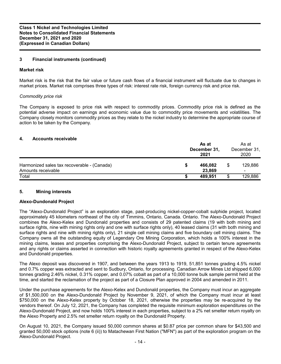# **3 Financial instruments (continued)**

## **Market risk**

Market risk is the risk that the fair value or future cash flows of a financial instrument will fluctuate due to changes in market prices. Market risk comprises three types of risk: interest rate risk, foreign currency risk and price risk.

## *Commodity price risk*

The Company is exposed to price risk with respect to commodity prices. Commodity price risk is defined as the potential adverse impact on earnings and economic value due to commodity price movements and volatilities. The Company closely monitors commodity prices as they relate to the nickel industry to determine the appropriate course of action to be taken by the Company.

## **4. Accounts receivable**

|                                                                   | As at<br>December 31,<br>2021 |                   |  | As at<br>December 31,<br>2020 |  |
|-------------------------------------------------------------------|-------------------------------|-------------------|--|-------------------------------|--|
| Harmonized sales tax recoverable - (Canada)<br>Amounts receivable |                               | 466.082<br>23,869 |  | 129,886<br>$\blacksquare$     |  |
| Total                                                             |                               | 489.951           |  | 129,886                       |  |

# **5. Mining interests**

## **Alexo-Dundonald Project**

The "Alexo-Dundonald Project" is an exploration stage, past-producing nickel-copper-cobalt sulphide project, located approximately 45 kilometers northeast of the city of Timmins, Ontario, Canada. Ontario. The Alexo-Dundonald Project combines the Alexo-Kelex and Dundonald properties and consists of 29 patented claims (19 with both mining and surface rights, nine with mining rights only and one with surface rights only), 40 leased claims (31 with both mining and surface rights and nine with mining rights only), 21 single cell mining claims and five boundary cell mining claims. The Company owns all the outstanding equity of Legendary Ore Mining Corporation, which holds a 100% interest in the mining claims, leases and properties comprising the Alexo-Dundonald Project, subject to certain tenure agreements and any rights or claims asserted in connection with historic royalty agreements granted in respect of the Alexo-Kelex and Dundonald properties.

The Alexo deposit was discovered in 1907, and between the years 1913 to 1919, 51,851 tonnes grading 4.5% nickel and 0.7% copper was extracted and sent to Sudbury, Ontario, for processing. Canadian Arrow Mines Ltd shipped 6,000 tonnes grading 2.46% nickel, 0.31% copper, and 0.07% cobalt as part of a 10,000 tonne bulk sample permit held at the time, and started the reclamation of the project as part of a Closure Plan approved in 2004 and amended in 2011.

Under the purchase agreements for the Alexo-Kelex and Dundonald properties, the Company must incur an aggregate of \$1,500,000 on the Alexo-Dundonald Project by November 9, 2021, of which the Company must incur at least \$750,000 on the Alexo-Kelex property by October 18, 2021, otherwise the properties may be re-acquired by the vendors thereof. On July 12, 2021, the Company has completed the requisite minimum exploration expenditures on the Alexo-Dundonald Project, and now holds 100% interest in each properties, subject to a 2% net smelter return royalty on the Alexo Property and 2.5% net smelter return royalty on the Dundonald Property.

On August 10, 2021, the Company issued 50,000 common shares at \$0.87 price per common share for \$43,500 and granted 50,000 stock options (note 6 (ii)) to Matachewan First Nation ("MFN") as part of the exploration program on the Alexo-Dundonald Project.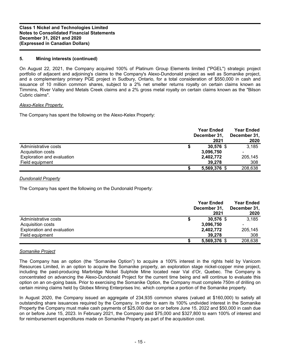# **5. Mining interests (continued)**

On August 22, 2021, the Company acquired 100% of Platinum Group Elements limited ("PGEL") strategic project portfolio of adjacent and adjoining's claims to the Company's Alexo-Dundonald project as well as Somanike project, and a complementary primary PGE project in Sudbury, Ontario, for a total consideration of \$550,000 in cash and issuance of 10 million common shares, subject to a 2% net smelter returns royalty on certain claims known as Timmins, River Valley and Metals Creek claims and a 2% gross metal royalty on certain claims known as the "Bilson Cubric claims".

## *Alexo-Kelex Property*

The Company has spent the following on the Alexo-Kelex Property:

|                            |   | <b>Year Ended</b> | <b>Year Ended</b> |
|----------------------------|---|-------------------|-------------------|
|                            |   | December 31,      | December 31,      |
|                            |   | 2021              | 2020              |
| Administrative costs       | ১ | $30,576$ \$       | 3,185             |
| Acquisition costs          |   | 3,096,750         |                   |
| Exploration and evaluation |   | 2,402,772         | 205,145           |
| Field equipment            |   | 39,278            | 308               |
|                            |   | 5,569,376 \$      | 208,638           |

# *Dundonald Property*

The Company has spent the following on the Dundonald Property:

|                            | <b>Year Ended</b><br>December 31,<br>2021 | <b>Year Ended</b><br>December 31,<br>2020 |
|----------------------------|-------------------------------------------|-------------------------------------------|
| Administrative costs       | $30,576$ \$                               | 3,185                                     |
| Acquisition costs          | 3,096,750                                 | $\overline{\phantom{0}}$                  |
| Exploration and evaluation | 2,402,772                                 | 205,145                                   |
| Field equipment            | 39.278                                    | 308                                       |
|                            | 5,569,376 \$                              | 208,638                                   |

## *Somanike Project*

The Company has an option (the "Somanike Option") to acquire a 100% interest in the rights held by Vanicom Resources Limited, in an option to acquire the Somanike property, an exploration stage nickel-copper mine project, including the past-producing Marbridge Nickel Sulphide Mine located near Val d'Or, Quebec. The Company is concentrated on advancing the Alexo-Dundonald Project for the current time being and will continue to evaluate this option on an on-going basis. Prior to exercising the Somanike Option, the Company must complete 750m of drilling on certain mining claims held by Globex Mining Enterprises Inc. which comprise a portion of the Somanike property.

In August 2020, the Company issued an aggregate of 234,935 common shares (valued at \$160,000) to satisfy all outstanding share issuances required by the Company. In order to earn its 100% undivided interest in the Somanike Property the Company must make cash payments of \$25,000 due on or before June 15, 2022 and \$50,000 in cash due on or before June 15, 2023. In February 2021, the Company paid \$75,000 and \$327,800 to earn 100% of interest and for reimbursement expenditures made on Somanike Property as part of the acquisition cost.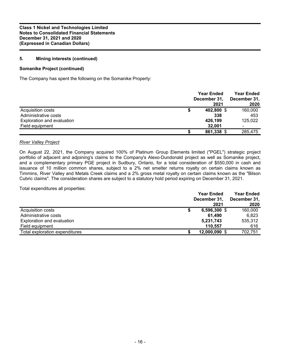# **5. Mining interests (continued)**

## **Somanike Project (continued)**

The Company has spent the following on the Somanike Property:

|                            | <b>Year Ended</b><br>December 31, |            | <b>Year Ended</b><br>December 31, |
|----------------------------|-----------------------------------|------------|-----------------------------------|
|                            |                                   | 2021       | 2020                              |
| Acquisition costs          | Ð                                 | 402,800 \$ | 160,000                           |
| Administrative costs       |                                   | 338        | 453                               |
| Exploration and evaluation |                                   | 426.199    | 125,022                           |
| Field equipment            |                                   | 32.001     | $\overline{\phantom{a}}$          |
|                            |                                   | 861,338 \$ | 285,475                           |

# *River Valley Project*

On August 22, 2021, the Company acquired 100% of Platinum Group Elements limited ("PGEL") strategic project portfolio of adjacent and adjoining's claims to the Company's Alexo-Dundonald project as well as Somanike project, and a complementary primary PGE project in Sudbury, Ontario, for a total consideration of \$550,000 in cash and issuance of 10 million common shares, subject to a 2% net smelter returns royalty on certain claims known as Timmins, River Valley and Metals Creek claims and a 2% gross metal royalty on certain claims known as the "Bilson Cubric claims". The consideration shares are subject to a statutory hold period expiring on December 31, 2021.

Total expenditures all properties:

|                                | <b>Year Ended</b> | <b>Year Ended</b> |
|--------------------------------|-------------------|-------------------|
|                                | December 31,      | December 31,      |
|                                | 2021              | 2020              |
| Acquisition costs              | $6,596,300$ \$    | 160,000           |
| Administrative costs           | 61.490            | 6.823             |
| Exploration and evaluation     | 5,231,743         | 535,312           |
| Field equipment                | 110.557           | 616               |
| Total exploration expenditures | 12,000,090 \$     | 702.751           |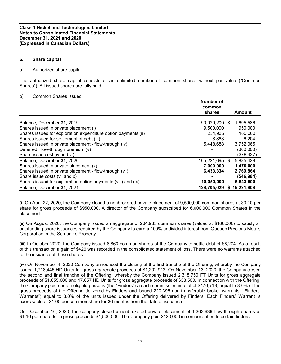#### **6. Share capital**

#### a) Authorized share capital

The authorized share capital consists of an unlimited number of common shares without par value ("Common Shares"). All issued shares are fully paid.

#### b) Common Shares issued

|                                                                | Number of<br>common |                                       |
|----------------------------------------------------------------|---------------------|---------------------------------------|
|                                                                | shares              | Amount                                |
| Balance, December 31, 2019                                     | 90,029,209 \$       | 1,695,586                             |
| Shares issued in private placement (i)                         | 9,500,000           | 950,000                               |
| Shares issued for exploration expenditure option payments (ii) | 234,935             | 160,000                               |
| Shares issued for settlement of debt (iii)                     | 8.863               | 6.204                                 |
| Shares issued in private placement - flow-through (iv)         | 5,448,688           | 3,752,065                             |
| Deferred Flow-through premium (v)                              |                     | (300,000)                             |
| Share issue cost (iv and vi)                                   |                     | (378,427)                             |
| Balance, December 31, 2020                                     | 105,221,695 \$      | 5,885,428                             |
| Shares issued in private placement (x)                         | 7,000,000           | 1,470,000                             |
| Shares issued in private placement - flow-through (vii)        | 6,433,334           | 2,769,864                             |
| Share issue costs (vii and x)                                  |                     | (546, 984)                            |
| Shares issued for exploration option payments (viii) and (ix)  | 10,050,000          | 5,643,500                             |
| Balance, December 31, 2021                                     | 128,705,029         | 15,221,808<br>$\sqrt[6]{\frac{1}{2}}$ |

(i) On April 22, 2020, the Company closed a nonbrokered private placement of 9,500,000 common shares at \$0.10 per share for gross proceeds of \$950,000. A director of the Company subscribed for 6,000,000 Common Shares in the placement.

(ii) On August 2020, the Company issued an aggregate of 234,935 common shares (valued at \$160,000) to satisfy all outstanding share issuances required by the Company to earn a 100% undivided interest from Quebec Precious Metals Corporation in the Somanike Property.

(iii) In October 2020, the Company issued 8,863 common shares of the Company to settle debt of \$6,204. As a result of this transaction a gain of \$426 was recorded in the consolidated statement of loss. There were no warrants attached to the issuance of these shares.

(iv) On November 4, 2020 Company announced the closing of the first tranche of the Offering, whereby the Company issued 1,718,445 HD Units for gross aggregate proceeds of \$1,202,912. On November 13, 2020, the Company closed the second and final tranche of the Offering, whereby the Company issued 2,318,750 FT Units for gross aggregate proceeds of \$1,855,000 and 47,857 HD Units for gross aggregate proceeds of \$33,500. In connection with the Offering, the Company paid certain eligible persons (the "Finders") a cash commission in total of \$170,713, equal to 8.0% of the gross proceeds of the Offering delivered by Finders and issued 220,396 non-transferable broker warrants ("Finders' Warrants") equal to 8.0% of the units issued under the Offering delivered by Finders. Each Finders' Warrant is exercisable at \$1.00 per common share for 36 months from the date of issuance.

On December 16, 2020, the company closed a nonbrokered private placement of 1,363,636 flow-through shares at \$1.10 per share for a gross proceeds \$1,500,000. The Company paid \$120,000 in compensation to certain finders.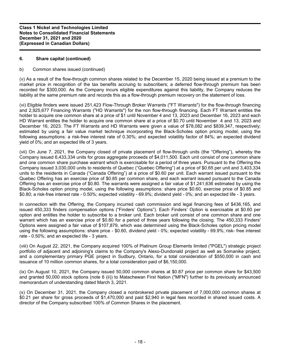# **6. Share capital (continued)**

# b) Common shares issued (continued)

(v) As a result of the flow-through common shares related to the December 15, 2020 being issued at a premium to the market price in recognition of the tax benefits accruing to subscribers; a deferred flow-through premium has been recorded for \$300,000. As the Company incurs eligible expenditures against this liability, the Company reduces the liability at the same premium rate and records this as a flow-through premium recovery on the statement of loss.

(vi) Eligible finders were issued 251,423 Flow-Through Broker Warrants ("FT Warrants") for the flow-through financing and 2,925,677 Financing Warrants ("HD Warrants") for the non flow-through financing. Each FT Warrant entitles the holder to acquire one common share at a price of \$1 until November 4 and 13, 2023 and December 16, 2023 and each HD Warrant entitles the holder to acquire one common share at a price of \$0.70 until November 4 and 13, 2023 and December 16, 2023. The FT Warrants and HD Warrants were given a value of \$78,082 and \$839,347, respectively; estimated by using a fair value market technique incorporating the Black-Scholes option pricing model, using the following assumptions: a risk-free interest rate of 0.30%; and expected volatility factor of 84%; an expected dividend yield of 0%; and an expected life of 3 years.

(vii) On June 7, 2021, the Company closed of private placement of flow-through units (the "Offering"), whereby the Company issued 6,433,334 units for gross aggregate proceeds of \$4,011,500. Each unit consist of one common share and one common share purchase warrant which is exercisable for a period of three years. Pursuant to the Offering the Company issued 3,030,000 units to residents of Quebec ("Quebec Offering") at a price of \$0.65 per unit and 3,403,334 units to the residents in Canada ("Canada Offering") at a price of \$0.60 per unit. Each warrant issued pursuant to the Quebec Offering has an exercise price of \$0.85 per common share, and each warrant issued pursuant to the Canada Offering has an exercise price of \$0.80. The warrants were assigned a fair value of \$1,241,636 estimated by using the Black-Scholes option pricing model, using the following assumptions: share price \$0.60, exercise price of \$0.85 and \$0.80; a risk-free interest rate - 0.50%; expected volatility - 69.9%; dividend yield - 0%; and an expected life - 3 years.

In connection with the Offering, the Company incurred cash commission and legal financing fees of \$436,165, and issued 450,333 finders compensation options ("Finders' Options"). Each Finders' Option is exercisable at \$0.60 per option and entitles the holder to subscribe to a broker unit. Each broker unit consist of one common share and one warrant which has an exercise price of \$0.80 for a period of three years following the closing. The 450,333 Finders' Options were assigned a fair value of \$107,879, which was determined using the Black-Scholes option pricing model using the following assumptions: share price - \$0.60, dividend yield - 0%; expected volatility - 69.9%; risk- free interest rate - 0.50%; and an expected life - 3 years.

(viii) On August 22, 2021, the Company acquired 100% of Platinum Group Elements limited ("PGEL") strategic project portfolio of adjacent and adjoining's claims to the Company's Alexo-Dundonald project as well as Somanike project, and a complementary primary PGE project in Sudbury, Ontario, for a total consideration of \$550,000 in cash and issuance of 10 million common shares, for a total consideration paid of \$6,150,000.

(ix) On August 10, 2021, the Company issued 50,000 common shares at \$0.87 price per common share for \$43,500 and granted 50,000 stock options (note 6 (ii)) to Matachewan First Nation ("MFN") further to its previously announced memorandum of understanding dated March 3, 2021.

(x) On December 31, 2021, the Company closed a nonbrokered private placement of 7,000,000 common shares at \$0.21 per share for gross proceeds of \$1,470,000 and paid \$2,940 in legal fees recorded in shared issued costs. A director of the Company subscribed 100% of Common Shares in the placement.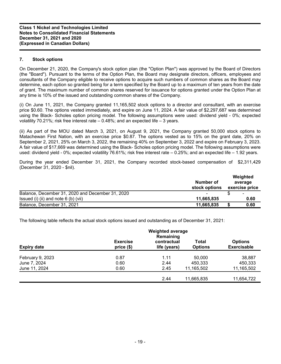# **7. Stock options**

On December 21, 2020, the Company's stock option plan (the "Option Plan") was approved by the Board of Directors (the "Board"). Pursuant to the terms of the Option Plan, the Board may designate directors, officers, employees and consultants of the Company eligible to receive options to acquire such numbers of common shares as the Board may determine, each option so granted being for a term specified by the Board up to a maximum of ten years from the date of grant. The maximum number of common shares reserved for issuance for options granted under the Option Plan at any time is 10% of the issued and outstanding common shares of the Company.

(i) On June 11, 2021, the Company granted 11,165,502 stock options to a director and consultant, with an exercise price \$0.60. The options vested immediately, and expire on June 11, 2024. A fair value of \$2,297,687 was determined using the Black- Scholes option pricing model. The following assumptions were used: dividend yield - 0%; expected volatility 70.21%; risk free interest rate  $-0.48\%$ ; and an expected life  $-3$  years.

(ii) As part of the MOU dated March 3, 2021, on August 9, 2021, the Company granted 50,000 stock options to Matachewan First Nation, with an exercise price \$0.87. The options vested as to 15% on the grant date, 20% on September 2, 2021, 25% on March 3, 2022, the remaining 40% on September 3, 2022 and expire on February 3, 2023. A fair value of \$17,669 was determined using the Black- Scholes option pricing model. The following assumptions were used: dividend yield - 0%; expected volatility 76.61%; risk free interest rate – 0.25%; and an expected life – 1.92 years.

During the year ended December 31, 2021, the Company recorded stock-based compensation of \$2,311,429 (December 31, 2020 - \$nil).

|                                                  | Number of<br>stock options | Weighted<br>average<br>exercise price |
|--------------------------------------------------|----------------------------|---------------------------------------|
| Balance, December 31, 2020 and December 31, 2020 |                            | -                                     |
| Issued (i) (ii) and note $6$ (b) (vii)           | 11.665.835                 | 0.60                                  |
| Balance, December 31, 2021                       | 11,665,835                 | 0.60                                  |

The following table reflects the actual stock options issued and outstanding as of December 31, 2021:

|                    |                               | <b>Weighted average</b><br>Remaining |                         |                                      |
|--------------------|-------------------------------|--------------------------------------|-------------------------|--------------------------------------|
| <b>Expiry date</b> | <b>Exercise</b><br>price (\$) | contractual<br>life (years)          | Total<br><b>Options</b> | <b>Options</b><br><b>Exercisable</b> |
| February 9, 2023   | 0.87                          | 1.11                                 | 50,000                  | 38,887                               |
| June 7, 2024       | 0.60                          | 2.44                                 | 450,333                 | 450,333                              |
| June 11, 2024      | 0.60                          | 2.45                                 | 11,165,502              | 11,165,502                           |
|                    |                               | 2.44                                 | 11,665,835              | 11,654,722                           |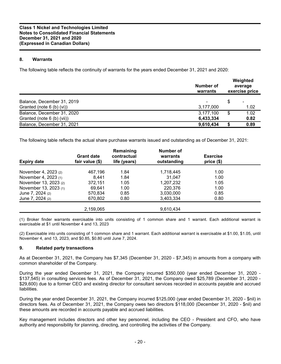# **8. Warrants**

The following table reflects the continuity of warrants for the years ended December 31, 2021 and 2020:

|                                                           | Number of<br>warrants  | Weighted<br>average<br>exercise price |              |
|-----------------------------------------------------------|------------------------|---------------------------------------|--------------|
| Balance, December 31, 2019<br>Granted (note $6$ (b) (vi)) | 3,177,000              |                                       | -<br>1.02    |
| Balance, December 31, 2020<br>Granted (note 6 (b) (vii))  | 3,177,100<br>6,433,334 | \$                                    | 1.02<br>0.82 |
| Balance, December 31, 2021                                | 9,610,434              |                                       | 0.89         |

The following table reflects the actual share purchase warrants issued and outstanding as of December 31, 2021:

| <b>Expiry date</b>    | <b>Grant date</b><br>fair value (\$) | Remaining<br>contractual<br>life (years) | Number of<br>warrants<br>outstanding | <b>Exercise</b><br>price $(\$)$ |  |
|-----------------------|--------------------------------------|------------------------------------------|--------------------------------------|---------------------------------|--|
| November 4, 2023 (2)  | 467,196                              | 1.84                                     | 1,718,445                            | 1.00                            |  |
| November 4, 2023 (1)  | 8.441                                | 1.84                                     | 31.047                               | 1.00                            |  |
| November 13, 2023 (2) | 372,151                              | 1.05                                     | 1,207,232                            | 1.05                            |  |
| November 13, 2023 (1) | 69.641                               | 1.00                                     | 220.376                              | 1.00                            |  |
| June 7, 2024 (2)      | 570.834                              | 0.85                                     | 3,030,000                            | 0.85                            |  |
| June 7, 2024 (2)      | 670,802                              | 0.80                                     | 3,403,334                            | 0.80                            |  |
|                       | 2,159,065                            |                                          | 9,610,434                            |                                 |  |

(1) Broker finder warrants exercisable into units consisting of 1 common share and 1 warrant. Each additional warrant is exercisable at \$1 until November 4 and 13, 2023

(2) Exercisable into units consisting of 1 common share and 1 warrant. Each additional warrant is exercisable at \$1.00, \$1.05, until November 4, and 13, 2023, and \$0.85, \$0.80 until June 7, 2024.

## **9. Related party transactions**

As at December 31, 2021, the Company has \$7,345 (December 31, 2020 - \$7,345) in amounts from a company with common shareholder of the Company.

During the year ended December 31, 2021, the Company incurred \$350,000 (year ended December 31, 2020 - \$137,545) in consulting services fees. As of December 31, 2021, the Company owed \$25,789 (December 31, 2020 - \$29,600) due to a former CEO and existing director for consultant services recorded in accounts payable and accrued liabilities.

During the year ended December 31, 2021, the Company incurred \$125,000 (year ended December 31, 2020 - \$nil) in directors fees. As of December 31, 2021, the Company owes two directors \$118,000 (December 31, 2020 - \$nil) and these amounts are recorded in accounts payable and accrued liabilities.

Key management includes directors and other key personnel, including the CEO - President and CFO, who have authority and responsibility for planning, directing, and controlling the activities of the Company.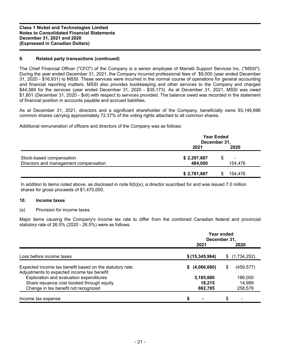# **9. Related party transactions (continued)**

The Chief Financial Officer ("CFO") of the Company is a senior employee of Marrelli Support Services Inc. ("MSSI"). During the year ended December 31, 2021, the Company incurred professional fees of \$9,000 (year ended December 31, 2020 - \$16,931) to MSSI. These services were incurred in the normal course of operations for general accounting and financial reporting matters. MSSI also provides bookkeeping and other services to the Company and charged \$44,589 for the services (year ended December 31, 2020 - \$35,173). As at December 31, 2021, MSSI was owed \$1,801 (December 31, 2020 - \$nil) with respect to services provided. The balance owed was recorded in the statement of financial position in accounts payable and accrued liabilities.

As at December 31, 2021, directors and a significant shareholder of the Company, beneficially owns 93,146,696 common shares carrying approximately 72.37% of the voting rights attached to all common shares.

Additional remuneration of officers and directors of the Company was as follows:

|                                       | <b>Year Ended</b><br>December 31, |                               |
|---------------------------------------|-----------------------------------|-------------------------------|
|                                       | 2021                              | 2020                          |
| Stock-based compensation              | \$2,297,687                       | S<br>$\overline{\phantom{0}}$ |
| Directors and management compensation | 484,000                           | 154,476                       |
|                                       | \$2,781,687                       | 154,476                       |

In addition to items noted above, as disclosed in note  $6(b)(x)$ , a director suscribed for and was issued 7.0 million shares for gross proceeds of \$1,470,000.

## **10. Income taxes**

## (a) Provision for income taxes

Major items causing the Company's income tax rate to differ from the combined Canadian federal and provincial statutory rate of 26.5% (2020 - 26.5%) were as follows:

|                                                                                                         | Year ended<br>December 31, |                   |  |
|---------------------------------------------------------------------------------------------------------|----------------------------|-------------------|--|
|                                                                                                         | 2021                       | 2020              |  |
| Loss before income taxes                                                                                | \$(15,345,964)             | (1,734,252)<br>S. |  |
| Expected income tax benefit based on the statutory rate:<br>Adjustments to expected income tax benefit: | (4,066,680)                | \$<br>(459, 577)  |  |
| Exploration and evaluation expenditures<br>Share issuance cost booked through equity                    | 3,185,680<br>18.215        | 186,000<br>14,999 |  |
| Change in tax benefit not recognized                                                                    | 862,785                    | 258,578           |  |
| Income tax expense                                                                                      |                            | S<br>-            |  |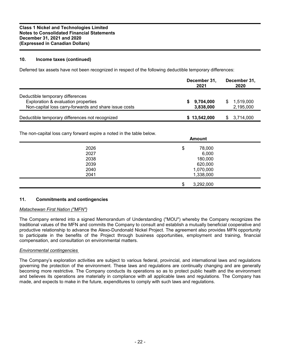# **10. Income taxes (continued)**

Deferred tax assets have not been recognized in respect of the following deductible temporary differences:

|                                                                                                                                  | December 31,<br>2021   | December 31,<br>2020         |
|----------------------------------------------------------------------------------------------------------------------------------|------------------------|------------------------------|
| Deductible temporary differences<br>Exploration & evaluation properties<br>Non-capital loss carry-forwards and share issue costs | 9,704,000<br>3,838,000 | 1,519,000<br>S.<br>2,195,000 |
| Deductible temporary differences not recognized                                                                                  | \$13,542,000           | 3,714,000<br>S.              |

The non-capital loss carry forward expire a noted in the table below.

|      | <b>Amount</b>   |  |
|------|-----------------|--|
| 2026 | 78,000<br>\$    |  |
| 2027 | 6,000           |  |
| 2038 | 180,000         |  |
| 2039 | 620,000         |  |
| 2040 | 1,070,000       |  |
| 2041 | 1,338,000       |  |
|      | 3,292,000<br>\$ |  |

# **11. Commitments and contingencies**

# *Matachewan First Nation ("MFN")*

The Company entered into a signed Memorandum of Understanding ("MOU") whereby the Company recognizes the traditional values of the MFN and commits the Company to consult and establish a mutually beneficial cooperative and productive relationship to advance the Alexo-Dundonald Nickel Project. The agreement also provides MFN opportunity to participate in the benefits of the Project through business opportunities, employment and training, financial compensation, and consultation on environmental matters.

# *Environmental contingencies*

The Company's exploration activities are subject to various federal, provincial, and international laws and regulations governing the protection of the environment. These laws and regulations are continually changing and are generally becoming more restrictive. The Company conducts its operations so as to protect public health and the environment and believes its operations are materially in compliance with all applicable laws and regulations. The Company has made, and expects to make in the future, expenditures to comply with such laws and regulations.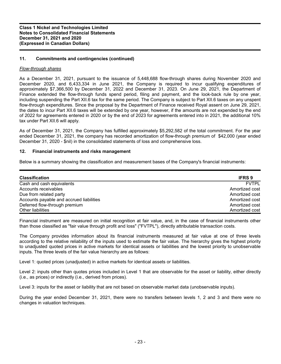# **11. Commitments and contingencies (continued)**

## *Flow-through shares*

As a December 31, 2021, pursuant to the issuance of 5,448,688 flow-through shares during November 2020 and December 2020, and 6,433,334 in June 2021, the Company is required to incur qualifying expenditures of approximately \$7,366,500 by December 31, 2022 and December 31, 2023. On June 29, 2021, the Department of Finance extended the flow-through funds spend period, filing and payment, and the look-back rule by one year, including suspending the Part XII.6 tax for the same period. The Company is subject to Part XII.6 taxes on any unspent flow-through expenditures. Since the proposal by the Department of Finance received Royal assent on June 29, 2021, the dates to incur Part XII.6 taxes will be extended by one year, however, if the amounts are not expended by the end of 2022 for agreements entered in 2020 or by the end of 2023 for agreements entered into in 2021, the additional 10% tax under Part XII.6 will apply.

As of December 31, 2021, the Company has fulfilled approximately \$5,292,582 of the total commitment. For the year ended December 31, 2021, the company has recorded amortization of flow-through premium of \$42,000 (year ended December 31, 2020 - \$nil) in the consolidated statements of loss and comprehensive loss.

## **12. Financial instruments and risks management**

Below is a summary showing the classification and measurement bases of the Company's financial instruments:

| <b>Classification</b>                    | <b>IFRS 9</b>  |
|------------------------------------------|----------------|
| Cash and cash equivalents                | <b>FVTPL</b>   |
| Accounts receivables                     | Amortized cost |
| Due from related party                   | Amortized cost |
| Accounts payable and accrued liabilities | Amortized cost |
| Deferred flow-through premium            | Amortized cost |
| Other liabilities                        | Amortized cost |

Financial instrument are measured on initial recognition at fair value, and, in the case of financial instruments other than those classified as "fair value through profit and loss" ("FVTPL"), directly attributable transaction costs.

The Company provides information about its financial instruments measured at fair value at one of three levels according to the relative reliability of the inputs used to estimate the fair value. The hierarchy gives the highest priority to unadjusted quoted prices in active markets for identical assets or liabilities and the lowest priority to unobservable inputs. The three levels of the fair value hierarchy are as follows:

Level 1: quoted prices (unadjusted) in active markets for identical assets or liabilities.

Level 2: inputs other than quotes prices included in Level 1 that are observable for the asset or liability, either directly (i.e., as prices) or indirectly (i.e., derived from prices).

Level 3: inputs for the asset or liability that are not based on observable market data (unobservable inputs).

During the year ended December 31, 2021, there were no transfers between levels 1, 2 and 3 and there were no changes in valuation techniques.